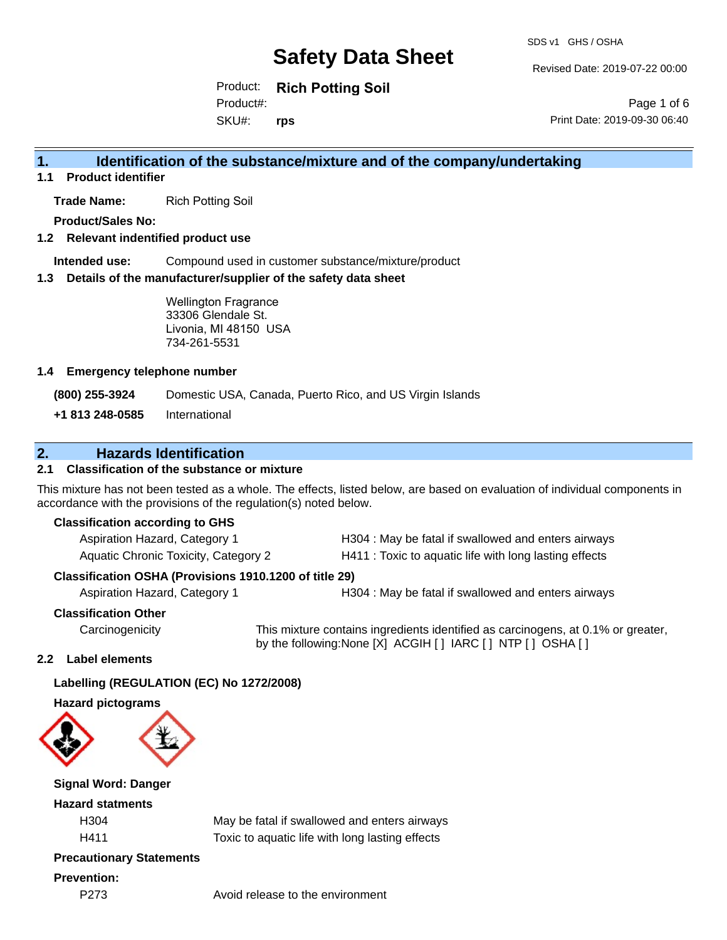Revised Date: 2019-07-22 00:00

Product: **Rich Potting Soil** SKU#: Product#: **rps**

Page 1 of 6 Print Date: 2019-09-30 06:40

## **1. Identification of the substance/mixture and of the company/undertaking**

**1.1 Product identifier**

**Trade Name:** Rich Potting Soil

**Product/Sales No:**

#### **1.2 Relevant indentified product use**

**Intended use:** Compound used in customer substance/mixture/product

#### **1.3 Details of the manufacturer/supplier of the safety data sheet**

Wellington Fragrance 33306 Glendale St. Livonia, MI 48150 USA 734-261-5531

#### **1.4 Emergency telephone number**

**(800) 255-3924** Domestic USA, Canada, Puerto Rico, and US Virgin Islands

**+1 813 248-0585** International

### **2. Hazards Identification**

#### **2.1 Classification of the substance or mixture**

This mixture has not been tested as a whole. The effects, listed below, are based on evaluation of individual components in accordance with the provisions of the regulation(s) noted below.

#### **Classification according to GHS**

| Aspiration Hazard, Category 1        | H304 : May be fatal if swallowed and enters airways    |
|--------------------------------------|--------------------------------------------------------|
| Aquatic Chronic Toxicity, Category 2 | H411 : Toxic to aquatic life with long lasting effects |

#### **Classification OSHA (Provisions 1910.1200 of title 29)**

Aspiration Hazard, Category 1 **H304** : May be fatal if swallowed and enters airways

#### **Classification Other**

Carcinogenicity This mixture contains ingredients identified as carcinogens, at 0.1% or greater, by the following:None [X] ACGIH [ ] IARC [ ] NTP [ ] OSHA [ ]

#### **2.2 Label elements**

#### **Labelling (REGULATION (EC) No 1272/2008)**

#### **Hazard pictograms**



#### **Signal Word: Danger**

#### **Hazard statments**

H304 May be fatal if swallowed and enters airways H411 Toxic to aquatic life with long lasting effects

### **Precautionary Statements**

#### **Prevention:**

P273 Avoid release to the environment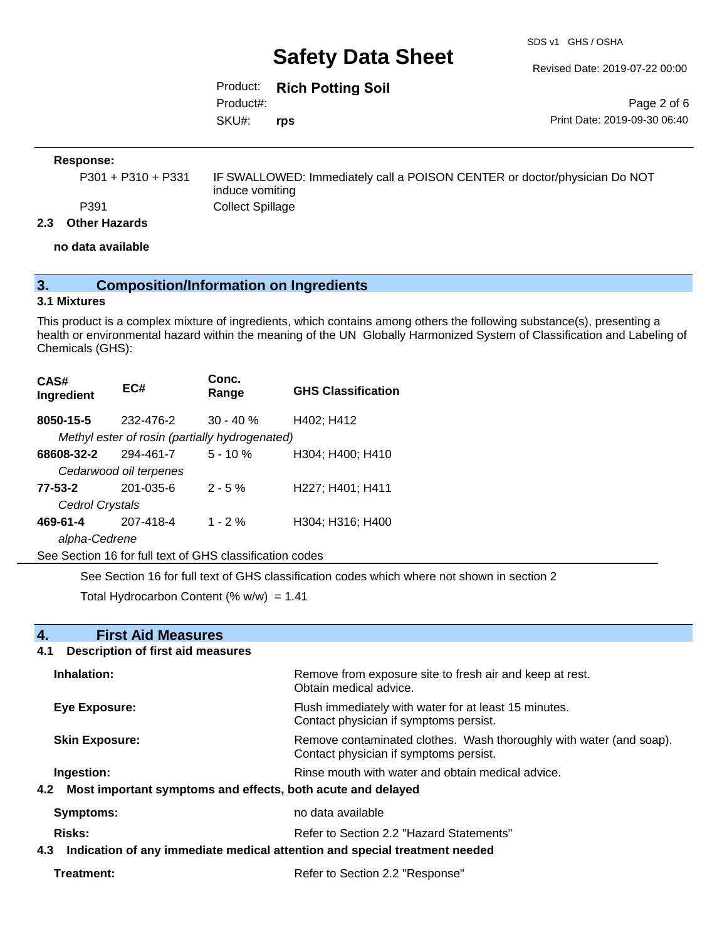SDS v1 GHS / OSHA

Revised Date: 2019-07-22 00:00

Product: **Rich Potting Soil** SKU#: Product#: **rps**

Page 2 of 6 Print Date: 2019-09-30 06:40

#### **Response:**

| P301 + P310 + P331 | IF SWALLOWED: Immediately call a POISON CENTER or doctor/physician Do NOT |
|--------------------|---------------------------------------------------------------------------|
|                    | induce vomiting                                                           |
| P391               | Collect Spillage                                                          |

#### **2.3 Other Hazards**

**no data available**

## **3. Composition/Information on Ingredients**

#### **3.1 Mixtures**

This product is a complex mixture of ingredients, which contains among others the following substance(s), presenting a health or environmental hazard within the meaning of the UN Globally Harmonized System of Classification and Labeling of Chemicals (GHS):

| CAS#<br>Ingredient                                       | EC#                                            | Conc.<br>Range | <b>GHS Classification</b> |  |
|----------------------------------------------------------|------------------------------------------------|----------------|---------------------------|--|
| 8050-15-5                                                | 232-476-2                                      | $30 - 40 \%$   | H402; H412                |  |
|                                                          | Methyl ester of rosin (partially hydrogenated) |                |                           |  |
| 68608-32-2                                               | 294-461-7                                      | $5 - 10%$      | H304; H400; H410          |  |
|                                                          | Cedarwood oil terpenes                         |                |                           |  |
| 77-53-2                                                  | $201 - 035 - 6$                                | $2 - 5%$       | H227; H401; H411          |  |
| Cedrol Crystals                                          |                                                |                |                           |  |
| 469-61-4                                                 | 207-418-4                                      | $1 - 2\%$      | H304; H316; H400          |  |
| alpha-Cedrene                                            |                                                |                |                           |  |
| See Section 16 for full text of GHS classification codes |                                                |                |                           |  |

See Section 16 for full text of GHS classification codes which where not shown in section 2

Total Hydrocarbon Content (%  $w/w$ ) = 1.41

| <b>First Aid Measures</b><br>4.                                                |                                                                                                               |  |
|--------------------------------------------------------------------------------|---------------------------------------------------------------------------------------------------------------|--|
| <b>Description of first aid measures</b><br>4.1                                |                                                                                                               |  |
| Inhalation:                                                                    | Remove from exposure site to fresh air and keep at rest.<br>Obtain medical advice.                            |  |
| <b>Eye Exposure:</b>                                                           | Flush immediately with water for at least 15 minutes.<br>Contact physician if symptoms persist.               |  |
| <b>Skin Exposure:</b>                                                          | Remove contaminated clothes. Wash thoroughly with water (and soap).<br>Contact physician if symptoms persist. |  |
| Ingestion:                                                                     | Rinse mouth with water and obtain medical advice.                                                             |  |
| 4.2 Most important symptoms and effects, both acute and delayed                |                                                                                                               |  |
| Symptoms:                                                                      | no data available                                                                                             |  |
| <b>Risks:</b>                                                                  | Refer to Section 2.2 "Hazard Statements"                                                                      |  |
| 4.3 Indication of any immediate medical attention and special treatment needed |                                                                                                               |  |
| Treatment:                                                                     | Refer to Section 2.2 "Response"                                                                               |  |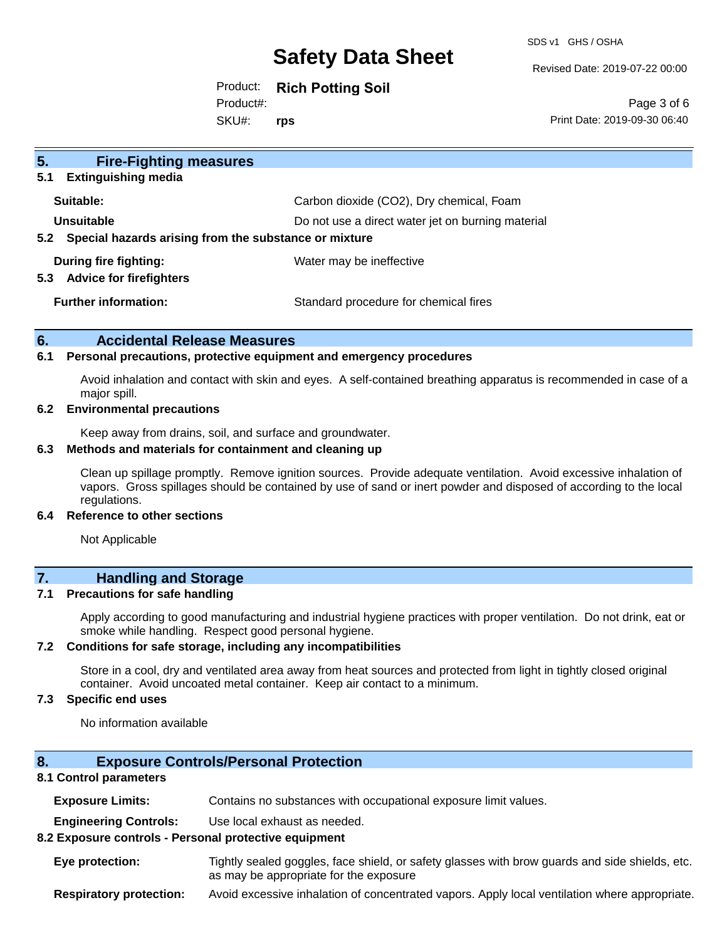SDS v1 GHS / OSHA

Revised Date: 2019-07-22 00:00

Product: **Rich Potting Soil** Product#:

SKU#: **rps**

Page 3 of 6 Print Date: 2019-09-30 06:40

| 5 <sub>1</sub><br><b>Fire-Fighting measures</b><br><b>Extinguishing media</b><br>5.1 |                                                   |
|--------------------------------------------------------------------------------------|---------------------------------------------------|
| Suitable:                                                                            | Carbon dioxide (CO2), Dry chemical, Foam          |
| Unsuitable                                                                           | Do not use a direct water jet on burning material |
| Special hazards arising from the substance or mixture<br>5.2                         |                                                   |
| During fire fighting:<br><b>Advice for firefighters</b><br>5.3                       | Water may be ineffective                          |
| <b>Further information:</b>                                                          | Standard procedure for chemical fires             |

#### **6. Accidental Release Measures**

#### **6.1 Personal precautions, protective equipment and emergency procedures**

Avoid inhalation and contact with skin and eyes. A self-contained breathing apparatus is recommended in case of a major spill.

#### **6.2 Environmental precautions**

Keep away from drains, soil, and surface and groundwater.

#### **6.3 Methods and materials for containment and cleaning up**

Clean up spillage promptly. Remove ignition sources. Provide adequate ventilation. Avoid excessive inhalation of vapors. Gross spillages should be contained by use of sand or inert powder and disposed of according to the local regulations.

#### **6.4 Reference to other sections**

Not Applicable

### **7. Handling and Storage**

#### **7.1 Precautions for safe handling**

Apply according to good manufacturing and industrial hygiene practices with proper ventilation. Do not drink, eat or smoke while handling. Respect good personal hygiene.

#### **7.2 Conditions for safe storage, including any incompatibilities**

Store in a cool, dry and ventilated area away from heat sources and protected from light in tightly closed original container. Avoid uncoated metal container. Keep air contact to a minimum.

#### **7.3 Specific end uses**

No information available

#### **8. Exposure Controls/Personal Protection**

#### **8.1 Control parameters**

**Exposure Limits:** Contains no substances with occupational exposure limit values.

**Engineering Controls:** Use local exhaust as needed.

#### **8.2 Exposure controls - Personal protective equipment**

**Eye protection:** Tightly sealed goggles, face shield, or safety glasses with brow guards and side shields, etc. as may be appropriate for the exposure

**Respiratory protection:** Avoid excessive inhalation of concentrated vapors. Apply local ventilation where appropriate.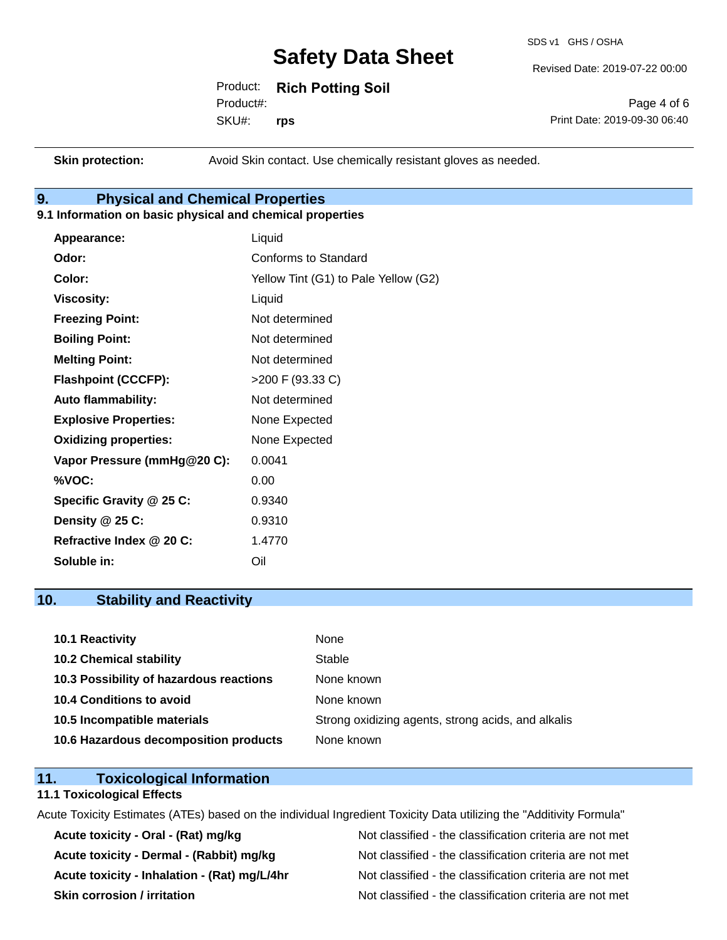SDS v1 GHS / OSHA

Revised Date: 2019-07-22 00:00

Product: **Rich Potting Soil** SKU#: Product#: **rps**

Page 4 of 6 Print Date: 2019-09-30 06:40

**Skin protection:** Avoid Skin contact. Use chemically resistant gloves as needed.

## **9. Physical and Chemical Properties**

#### **9.1 Information on basic physical and chemical properties**

| Appearance:                  | Liquid                               |
|------------------------------|--------------------------------------|
| Odor:                        | Conforms to Standard                 |
| Color:                       | Yellow Tint (G1) to Pale Yellow (G2) |
| <b>Viscosity:</b>            | Liquid                               |
| <b>Freezing Point:</b>       | Not determined                       |
| <b>Boiling Point:</b>        | Not determined                       |
| <b>Melting Point:</b>        | Not determined                       |
| <b>Flashpoint (CCCFP):</b>   | >200 F (93.33 C)                     |
| <b>Auto flammability:</b>    | Not determined                       |
| <b>Explosive Properties:</b> | None Expected                        |
| <b>Oxidizing properties:</b> | None Expected                        |
| Vapor Pressure (mmHg@20 C):  | 0.0041                               |
| %VOC:                        | 0.00                                 |
| Specific Gravity @ 25 C:     | 0.9340                               |
| Density $@25C$ :             | 0.9310                               |
| Refractive Index @ 20 C:     | 1.4770                               |
| Soluble in:                  | Oil                                  |

### **10. Stability and Reactivity**

| 10.1 Reactivity                         | None                                               |
|-----------------------------------------|----------------------------------------------------|
| <b>10.2 Chemical stability</b>          | Stable                                             |
| 10.3 Possibility of hazardous reactions | None known                                         |
| <b>10.4 Conditions to avoid</b>         | None known                                         |
| 10.5 Incompatible materials             | Strong oxidizing agents, strong acids, and alkalis |
| 10.6 Hazardous decomposition products   | None known                                         |

### **11. Toxicological Information**

#### **11.1 Toxicological Effects**

Acute Toxicity Estimates (ATEs) based on the individual Ingredient Toxicity Data utilizing the "Additivity Formula"

Acute toxicity - Oral - (Rat) mg/kg<br>
Not classified - the classification criteria are not met Acute toxicity - Dermal - (Rabbit) mg/kg<br>
Not classified - the classification criteria are not met Acute toxicity - Inhalation - (Rat) mg/L/4hr Not classified - the classification criteria are not met **Skin corrosion / irritation** Not classified - the classification criteria are not met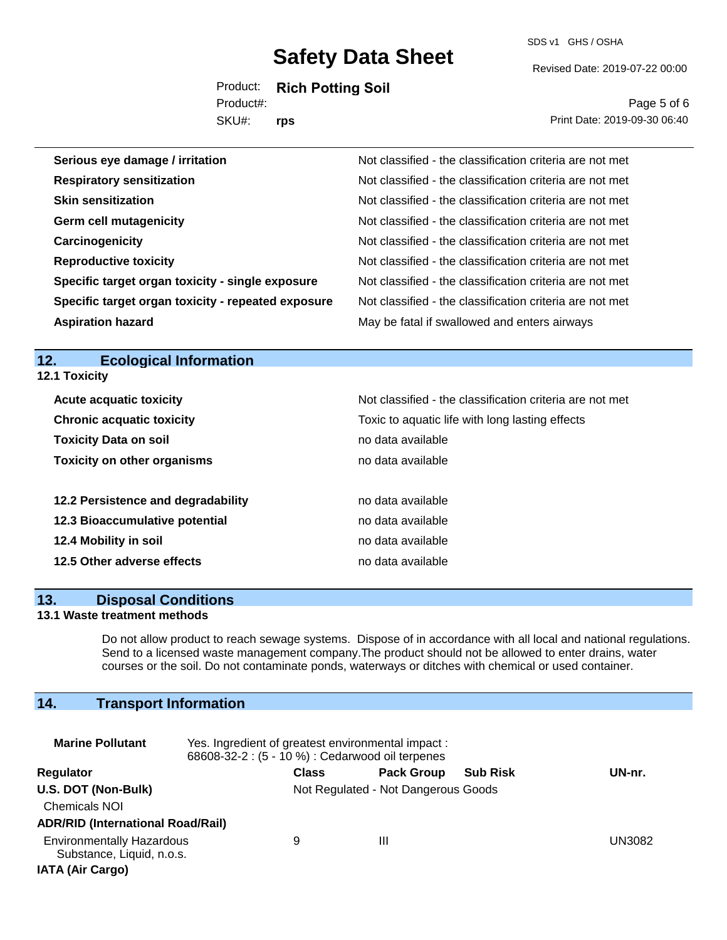SDS v1 GHS / OSHA

Revised Date: 2019-07-22 00:00

Product: **Rich Potting Soil** Product#:

SKU#: **rps**

Page 5 of 6 Print Date: 2019-09-30 06:40

| Serious eye damage / irritation                    | Not classified - the classification criteria are not met |
|----------------------------------------------------|----------------------------------------------------------|
| <b>Respiratory sensitization</b>                   | Not classified - the classification criteria are not met |
| <b>Skin sensitization</b>                          | Not classified - the classification criteria are not met |
| <b>Germ cell mutagenicity</b>                      | Not classified - the classification criteria are not met |
| Carcinogenicity                                    | Not classified - the classification criteria are not met |
| <b>Reproductive toxicity</b>                       | Not classified - the classification criteria are not met |
| Specific target organ toxicity - single exposure   | Not classified - the classification criteria are not met |
| Specific target organ toxicity - repeated exposure | Not classified - the classification criteria are not met |
| <b>Aspiration hazard</b>                           | May be fatal if swallowed and enters airways             |

## **12. Ecological Information**

**12.1 Toxicity**

| <b>Acute acquatic toxicity</b>     | Not classified - the classification criteria are not met |
|------------------------------------|----------------------------------------------------------|
| <b>Chronic acquatic toxicity</b>   | Toxic to aquatic life with long lasting effects          |
| <b>Toxicity Data on soil</b>       | no data available                                        |
| <b>Toxicity on other organisms</b> | no data available                                        |
|                                    |                                                          |
| 12.2 Persistence and degradability | no data available                                        |
| 12.3 Bioaccumulative potential     | no data available                                        |
| 12.4 Mobility in soil              | no data available                                        |
| 12.5 Other adverse effects         | no data available                                        |

#### **13. Disposal Conditions**

#### **13.1 Waste treatment methods**

Do not allow product to reach sewage systems. Dispose of in accordance with all local and national regulations. Send to a licensed waste management company.The product should not be allowed to enter drains, water courses or the soil. Do not contaminate ponds, waterways or ditches with chemical or used container.

## **14. Transport Information**

| <b>Marine Pollutant</b>                                                                  | Yes. Ingredient of greatest environmental impact:<br>68608-32-2 : (5 - 10 %) : Cedarwood oil terpenes |              |                                     |                 |        |
|------------------------------------------------------------------------------------------|-------------------------------------------------------------------------------------------------------|--------------|-------------------------------------|-----------------|--------|
| Regulator                                                                                |                                                                                                       | <b>Class</b> | <b>Pack Group</b>                   | <b>Sub Risk</b> | UN-nr. |
| U.S. DOT (Non-Bulk)<br><b>Chemicals NOI</b><br><b>ADR/RID (International Road/Rail)</b>  |                                                                                                       |              | Not Regulated - Not Dangerous Goods |                 |        |
| <b>Environmentally Hazardous</b><br>Substance, Liquid, n.o.s.<br><b>IATA (Air Cargo)</b> |                                                                                                       | 9            | Ш                                   |                 | UN3082 |